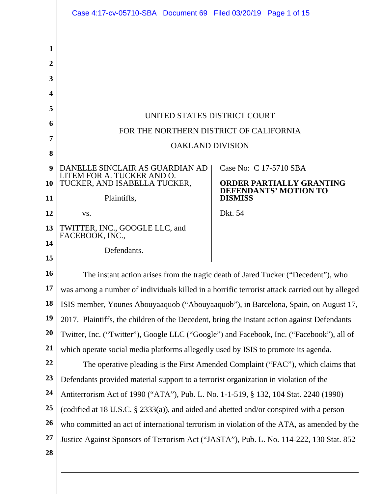|    | Case 4:17-cv-05710-SBA Document 69 Filed 03/20/19 Page 1 of 15                                 |                                                                                   |
|----|------------------------------------------------------------------------------------------------|-----------------------------------------------------------------------------------|
|    |                                                                                                |                                                                                   |
| 1  |                                                                                                |                                                                                   |
| 2  |                                                                                                |                                                                                   |
| 3  |                                                                                                |                                                                                   |
| 4  |                                                                                                |                                                                                   |
| 5  |                                                                                                |                                                                                   |
| 6  | UNITED STATES DISTRICT COURT                                                                   |                                                                                   |
| 7  | FOR THE NORTHERN DISTRICT OF CALIFORNIA                                                        |                                                                                   |
| 8  | <b>OAKLAND DIVISION</b>                                                                        |                                                                                   |
| 9  | DANELLE SINCLAIR AS GUARDIAN AD<br>LITEM FOR A. TUCKER AND O.                                  | Case No: C 17-5710 SBA                                                            |
| 10 | TUCKER, AND ISABELLA TUCKER,                                                                   | <b>ORDER PARTIALLY GRANTING</b><br><b>DEFENDANTS' MOTION TO</b>                   |
| 11 | Plaintiffs,                                                                                    | <b>DISMISS</b>                                                                    |
| 12 | VS.                                                                                            | Dkt. 54                                                                           |
| 13 | TWITTER, INC., GOOGLE LLC, and<br>FACEBOOK, INC.,                                              |                                                                                   |
| 14 | Defendants.                                                                                    |                                                                                   |
| 15 |                                                                                                |                                                                                   |
| 16 |                                                                                                | The instant action arises from the tragic death of Jared Tucker ("Decedent"), who |
| 17 | was among a number of individuals killed in a horrific terrorist attack carried out by alleged |                                                                                   |
| 18 | ISIS member, Younes Abouyaaquob ("Abouyaaquob"), in Barcelona, Spain, on August 17,            |                                                                                   |
| 19 | 2017. Plaintiffs, the children of the Decedent, bring the instant action against Defendants    |                                                                                   |
| 20 | Twitter, Inc. ("Twitter"), Google LLC ("Google") and Facebook, Inc. ("Facebook"), all of       |                                                                                   |
| 21 | which operate social media platforms allegedly used by ISIS to promote its agenda.             |                                                                                   |
| 22 |                                                                                                | The operative pleading is the First Amended Complaint ("FAC"), which claims that  |
| 23 | Defendants provided material support to a terrorist organization in violation of the           |                                                                                   |
| 24 | Antiterrorism Act of 1990 ("ATA"), Pub. L. No. 1-1-519, § 132, 104 Stat. 2240 (1990)           |                                                                                   |
| 25 | (codified at 18 U.S.C. § 2333(a)), and aided and abetted and/or conspired with a person        |                                                                                   |
| 26 | who committed an act of international terrorism in violation of the ATA, as amended by the     |                                                                                   |
| 27 | Justice Against Sponsors of Terrorism Act ("JASTA"), Pub. L. No. 114-222, 130 Stat. 852        |                                                                                   |
| 28 |                                                                                                |                                                                                   |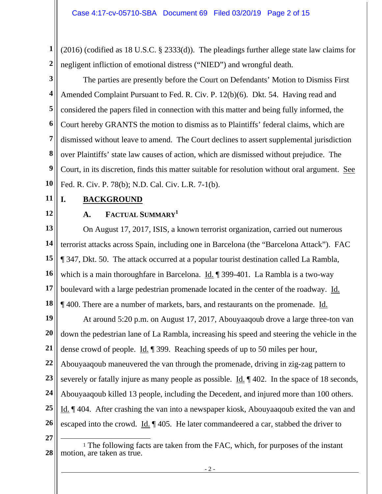**1 2**  (2016) (codified as 18 U.S.C. § 2333(d)). The pleadings further allege state law claims for negligent infliction of emotional distress ("NIED") and wrongful death.

**3 4 5 6 7 8 9 10**  The parties are presently before the Court on Defendants' Motion to Dismiss First Amended Complaint Pursuant to Fed. R. Civ. P. 12(b)(6). Dkt. 54. Having read and considered the papers filed in connection with this matter and being fully informed, the Court hereby GRANTS the motion to dismiss as to Plaintiffs' federal claims, which are dismissed without leave to amend. The Court declines to assert supplemental jurisdiction over Plaintiffs' state law causes of action, which are dismissed without prejudice. The Court, in its discretion, finds this matter suitable for resolution without oral argument. See Fed. R. Civ. P. 78(b); N.D. Cal. Civ. L.R. 7-1(b).

- **11**
- **12**

# **I. BACKGROUND**

# **A. FACTUAL SUMMARY<sup>1</sup>**

**13 14 15 16 17 18 19 20 21 22**  On August 17, 2017, ISIS, a known terrorist organization, carried out numerous terrorist attacks across Spain, including one in Barcelona (the "Barcelona Attack"). FAC ¶ 347, Dkt. 50. The attack occurred at a popular tourist destination called La Rambla, which is a main thoroughfare in Barcelona. Id. ¶ 399-401. La Rambla is a two-way boulevard with a large pedestrian promenade located in the center of the roadway. Id. ¶ 400. There are a number of markets, bars, and restaurants on the promenade. Id. At around 5:20 p.m. on August 17, 2017, Abouyaaqoub drove a large three-ton van down the pedestrian lane of La Rambla, increasing his speed and steering the vehicle in the dense crowd of people. Id. ¶ 399. Reaching speeds of up to 50 miles per hour, Abouyaaqoub maneuvered the van through the promenade, driving in zig-zag pattern to

**23**  severely or fatally injure as many people as possible. Id.  $\parallel$  402. In the space of 18 seconds,

**24**  Abouyaaqoub killed 13 people, including the Decedent, and injured more than 100 others.

**25 26**  Id. ¶ 404. After crashing the van into a newspaper kiosk, Abouyaaqoub exited the van and escaped into the crowd. Id. ¶ 405. He later commandeered a car, stabbed the driver to

**<sup>28</sup>**  1 The following facts are taken from the FAC, which, for purposes of the instant motion, are taken as true.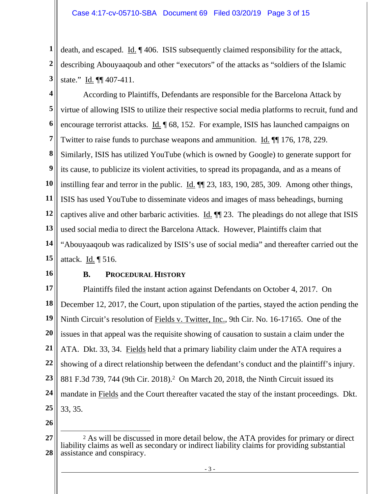**1 2 3**  death, and escaped. Id. ¶ 406. ISIS subsequently claimed responsibility for the attack, describing Abouyaaqoub and other "executors" of the attacks as "soldiers of the Islamic state." Id. ¶¶ 407-411.

**4 5 6 7 8 9 10 11 12 13 14 15**  According to Plaintiffs, Defendants are responsible for the Barcelona Attack by virtue of allowing ISIS to utilize their respective social media platforms to recruit, fund and encourage terrorist attacks. Id. ¶ 68, 152. For example, ISIS has launched campaigns on Twitter to raise funds to purchase weapons and ammunition. Id. ¶¶ 176, 178, 229. Similarly, ISIS has utilized YouTube (which is owned by Google) to generate support for its cause, to publicize its violent activities, to spread its propaganda, and as a means of instilling fear and terror in the public. Id. ¶¶ 23, 183, 190, 285, 309. Among other things, ISIS has used YouTube to disseminate videos and images of mass beheadings, burning captives alive and other barbaric activities. Id. ¶¶ 23. The pleadings do not allege that ISIS used social media to direct the Barcelona Attack. However, Plaintiffs claim that "Abouyaaqoub was radicalized by ISIS's use of social media" and thereafter carried out the attack. Id. ¶ 516.

**16** 

#### **B. PROCEDURAL HISTORY**

**17 18 19 20 21 22 23 24 25**  Plaintiffs filed the instant action against Defendants on October 4, 2017. On December 12, 2017, the Court, upon stipulation of the parties, stayed the action pending the Ninth Circuit's resolution of Fields v. Twitter, Inc., 9th Cir. No. 16-17165. One of the issues in that appeal was the requisite showing of causation to sustain a claim under the ATA. Dkt. 33, 34. Fields held that a primary liability claim under the ATA requires a showing of a direct relationship between the defendant's conduct and the plaintiff's injury. 881 F.3d 739, 744 (9th Cir. 2018).2 On March 20, 2018, the Ninth Circuit issued its mandate in Fields and the Court thereafter vacated the stay of the instant proceedings. Dkt. 33, 35.

**<sup>27</sup>  28**  2 As will be discussed in more detail below, the ATA provides for primary or direct liability claims as well as secondary or indirect liability claims for providing substantial assistance and conspiracy.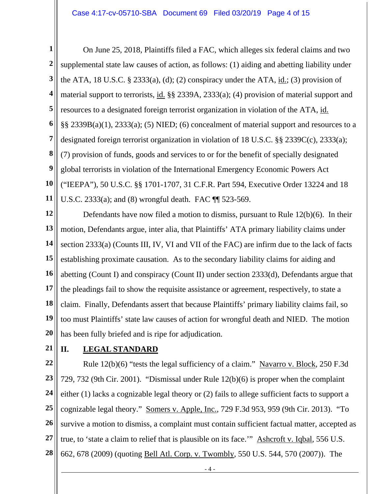**1 2 3 4 5 6 7 8 9 10 11**  On June 25, 2018, Plaintiffs filed a FAC, which alleges six federal claims and two supplemental state law causes of action, as follows: (1) aiding and abetting liability under the ATA, 18 U.S.C.  $\S$  2333(a), (d); (2) conspiracy under the ATA, id.; (3) provision of material support to terrorists, id. §§ 2339A, 2333(a); (4) provision of material support and resources to a designated foreign terrorist organization in violation of the ATA, id. §§ 2339B(a)(1), 2333(a); (5) NIED; (6) concealment of material support and resources to a designated foreign terrorist organization in violation of 18 U.S.C. §§ 2339C(c), 2333(a); (7) provision of funds, goods and services to or for the benefit of specially designated global terrorists in violation of the International Emergency Economic Powers Act ("IEEPA"), 50 U.S.C. §§ 1701-1707, 31 C.F.R. Part 594, Executive Order 13224 and 18 U.S.C. 2333(a); and (8) wrongful death. FAC ¶¶ 523-569.

**12 13 14 15 16 17 18 19 20**  Defendants have now filed a motion to dismiss, pursuant to Rule 12(b)(6). In their motion, Defendants argue, inter alia, that Plaintiffs' ATA primary liability claims under section 2333(a) (Counts III, IV, VI and VII of the FAC) are infirm due to the lack of facts establishing proximate causation. As to the secondary liability claims for aiding and abetting (Count I) and conspiracy (Count II) under section 2333(d), Defendants argue that the pleadings fail to show the requisite assistance or agreement, respectively, to state a claim. Finally, Defendants assert that because Plaintiffs' primary liability claims fail, so too must Plaintiffs' state law causes of action for wrongful death and NIED. The motion has been fully briefed and is ripe for adjudication.

**21** 

# **II. LEGAL STANDARD**

**22 23 24 25 26 27 28**  Rule 12(b)(6) "tests the legal sufficiency of a claim." Navarro v. Block, 250 F.3d 729, 732 (9th Cir. 2001). "Dismissal under Rule 12(b)(6) is proper when the complaint either (1) lacks a cognizable legal theory or (2) fails to allege sufficient facts to support a cognizable legal theory." Somers v. Apple, Inc., 729 F.3d 953, 959 (9th Cir. 2013). "To survive a motion to dismiss, a complaint must contain sufficient factual matter, accepted as true, to 'state a claim to relief that is plausible on its face.'" Ashcroft v. Iqbal, 556 U.S. 662, 678 (2009) (quoting Bell Atl. Corp. v. Twombly, 550 U.S. 544, 570 (2007)). The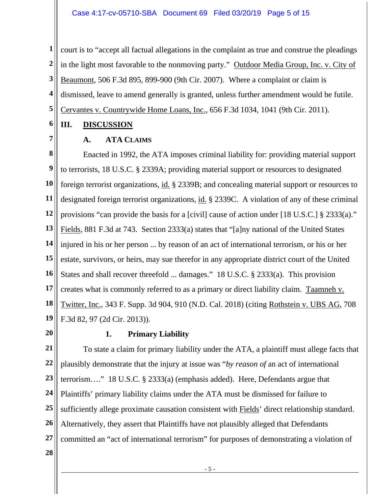**1 2 3 4 5**  court is to "accept all factual allegations in the complaint as true and construe the pleadings in the light most favorable to the nonmoving party." Outdoor Media Group, Inc. v. City of Beaumont, 506 F.3d 895, 899-900 (9th Cir. 2007). Where a complaint or claim is dismissed, leave to amend generally is granted, unless further amendment would be futile. Cervantes v. Countrywide Home Loans, Inc., 656 F.3d 1034, 1041 (9th Cir. 2011).

#### **6 III. DISCUSSION**

**7** 

## **A. ATA CLAIMS**

**8 9 10 11 12 13 14 15 16 17 18 19**  Enacted in 1992, the ATA imposes criminal liability for: providing material support to terrorists, 18 U.S.C. § 2339A; providing material support or resources to designated foreign terrorist organizations, id. § 2339B; and concealing material support or resources to designated foreign terrorist organizations, id. § 2339C. A violation of any of these criminal provisions "can provide the basis for a [civil] cause of action under [18 U.S.C.] § 2333(a)." Fields, 881 F.3d at 743. Section 2333(a) states that "[a]ny national of the United States injured in his or her person ... by reason of an act of international terrorism, or his or her estate, survivors, or heirs, may sue therefor in any appropriate district court of the United States and shall recover threefold ... damages." 18 U.S.C. § 2333(a). This provision creates what is commonly referred to as a primary or direct liability claim. Taamneh v. Twitter, Inc., 343 F. Supp. 3d 904, 910 (N.D. Cal. 2018) (citing Rothstein v. UBS AG, 708 F.3d 82, 97 (2d Cir. 2013)).

**20** 

#### **1. Primary Liability**

**21 22 23 24 25 26 27**  To state a claim for primary liability under the ATA, a plaintiff must allege facts that plausibly demonstrate that the injury at issue was "*by reason of* an act of international terrorism…." 18 U.S.C. § 2333(a) (emphasis added). Here, Defendants argue that Plaintiffs' primary liability claims under the ATA must be dismissed for failure to sufficiently allege proximate causation consistent with Fields' direct relationship standard. Alternatively, they assert that Plaintiffs have not plausibly alleged that Defendants committed an "act of international terrorism" for purposes of demonstrating a violation of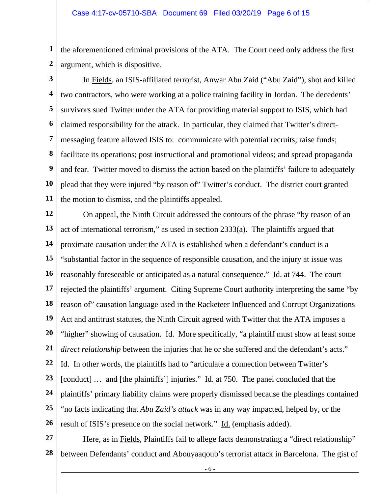**1 2**  the aforementioned criminal provisions of the ATA. The Court need only address the first argument, which is dispositive.

**3** 

**4 5 6 7 8 9 10 11**  In Fields, an ISIS-affiliated terrorist, Anwar Abu Zaid ("Abu Zaid"), shot and killed two contractors, who were working at a police training facility in Jordan. The decedents' survivors sued Twitter under the ATA for providing material support to ISIS, which had claimed responsibility for the attack. In particular, they claimed that Twitter's directmessaging feature allowed ISIS to: communicate with potential recruits; raise funds; facilitate its operations; post instructional and promotional videos; and spread propaganda and fear. Twitter moved to dismiss the action based on the plaintiffs' failure to adequately plead that they were injured "by reason of" Twitter's conduct. The district court granted the motion to dismiss, and the plaintiffs appealed.

**12 13 14 15 16 17 18 19 20 21 22 23 24 25 26**  On appeal, the Ninth Circuit addressed the contours of the phrase "by reason of an act of international terrorism," as used in section 2333(a). The plaintiffs argued that proximate causation under the ATA is established when a defendant's conduct is a "substantial factor in the sequence of responsible causation, and the injury at issue was reasonably foreseeable or anticipated as a natural consequence." Id. at 744. The court rejected the plaintiffs' argument. Citing Supreme Court authority interpreting the same "by reason of" causation language used in the Racketeer Influenced and Corrupt Organizations Act and antitrust statutes, the Ninth Circuit agreed with Twitter that the ATA imposes a "higher" showing of causation. Id. More specifically, "a plaintiff must show at least some *direct relationship* between the injuries that he or she suffered and the defendant's acts." Id. In other words, the plaintiffs had to "articulate a connection between Twitter's [conduct] … and [the plaintiffs'] injuries." Id. at 750. The panel concluded that the plaintiffs' primary liability claims were properly dismissed because the pleadings contained "no facts indicating that *Abu Zaid's attack* was in any way impacted, helped by, or the result of ISIS's presence on the social network." Id. (emphasis added).

**27 28**  Here, as in Fields, Plaintiffs fail to allege facts demonstrating a "direct relationship" between Defendants' conduct and Abouyaaqoub's terrorist attack in Barcelona. The gist of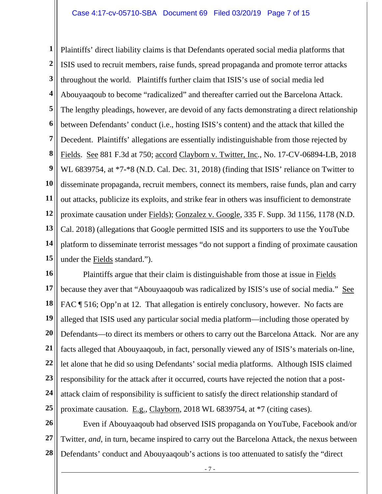**1 2 3 4 5 6 7 8 9 10 11 12 13 14 15**  Plaintiffs' direct liability claims is that Defendants operated social media platforms that ISIS used to recruit members, raise funds, spread propaganda and promote terror attacks throughout the world. Plaintiffs further claim that ISIS's use of social media led Abouyaaqoub to become "radicalized" and thereafter carried out the Barcelona Attack. The lengthy pleadings, however, are devoid of any facts demonstrating a direct relationship between Defendants' conduct (i.e., hosting ISIS's content) and the attack that killed the Decedent. Plaintiffs' allegations are essentially indistinguishable from those rejected by Fields. See 881 F.3d at 750; accord Clayborn v. Twitter, Inc., No. 17-CV-06894-LB, 2018 WL 6839754, at \*7-\*8 (N.D. Cal. Dec. 31, 2018) (finding that ISIS' reliance on Twitter to disseminate propaganda, recruit members, connect its members, raise funds, plan and carry out attacks, publicize its exploits, and strike fear in others was insufficient to demonstrate proximate causation under Fields); Gonzalez v. Google, 335 F. Supp. 3d 1156, 1178 (N.D. Cal. 2018) (allegations that Google permitted ISIS and its supporters to use the YouTube platform to disseminate terrorist messages "do not support a finding of proximate causation under the Fields standard.").

**16 17 18 19 20 21 22 23 24 25**  Plaintiffs argue that their claim is distinguishable from those at issue in Fields because they aver that "Abouyaaqoub was radicalized by ISIS's use of social media." See FAC ¶ 516; Opp'n at 12. That allegation is entirely conclusory, however. No facts are alleged that ISIS used any particular social media platform—including those operated by Defendants—to direct its members or others to carry out the Barcelona Attack. Nor are any facts alleged that Abouyaaqoub, in fact, personally viewed any of ISIS's materials on-line, let alone that he did so using Defendants' social media platforms. Although ISIS claimed responsibility for the attack after it occurred, courts have rejected the notion that a postattack claim of responsibility is sufficient to satisfy the direct relationship standard of proximate causation. E.g., Clayborn, 2018 WL 6839754, at \*7 (citing cases).

**26 27 28**  Even if Abouyaaqoub had observed ISIS propaganda on YouTube, Facebook and/or Twitter, *and*, in turn, became inspired to carry out the Barcelona Attack, the nexus between Defendants' conduct and Abouyaaqoub's actions is too attenuated to satisfy the "direct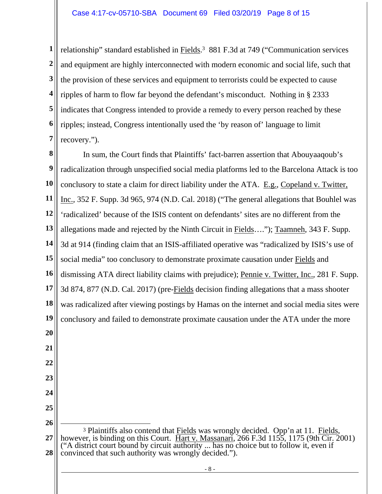**1 2 3 4 5 6 7**  relationship" standard established in Fields.3 881 F.3d at 749 ("Communication services and equipment are highly interconnected with modern economic and social life, such that the provision of these services and equipment to terrorists could be expected to cause ripples of harm to flow far beyond the defendant's misconduct. Nothing in § 2333 indicates that Congress intended to provide a remedy to every person reached by these ripples; instead, Congress intentionally used the 'by reason of' language to limit recovery.").

**8 9 10 11 12 13 14 15 16 17 18 19 20 21 22 23 24 25 26**  In sum, the Court finds that Plaintiffs' fact-barren assertion that Abouyaaqoub's radicalization through unspecified social media platforms led to the Barcelona Attack is too conclusory to state a claim for direct liability under the ATA. E.g., Copeland v. Twitter, Inc., 352 F. Supp. 3d 965, 974 (N.D. Cal. 2018) ("The general allegations that Bouhlel was 'radicalized' because of the ISIS content on defendants' sites are no different from the allegations made and rejected by the Ninth Circuit in Fields…."); Taamneh, 343 F. Supp. 3d at 914 (finding claim that an ISIS-affiliated operative was "radicalized by ISIS's use of social media" too conclusory to demonstrate proximate causation under Fields and dismissing ATA direct liability claims with prejudice); Pennie v. Twitter, Inc., 281 F. Supp. 3d 874, 877 (N.D. Cal. 2017) (pre-Fields decision finding allegations that a mass shooter was radicalized after viewing postings by Hamas on the internet and social media sites were conclusory and failed to demonstrate proximate causation under the ATA under the more <sup>3</sup> Plaintiffs also contend that Fields was wrongly decided. Opp'n at 11. Fields,

**27 28**  however, is binding on this Court.  $\overline{Hart v}$ . Massanari, 266 F.3d 1155, 1175 (9th Cir. 2001) ("A district court bound by circuit authority ... has no choice but to follow it, even if convinced that such authority was wrongly decided.").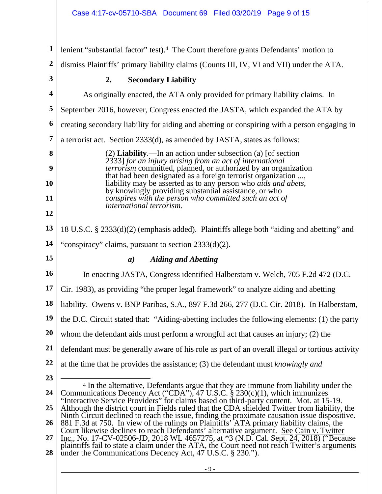| 1                | lenient "substantial factor" test). <sup>4</sup> The Court therefore grants Defendants' motion to                                                                                                                                                            |  |  |
|------------------|--------------------------------------------------------------------------------------------------------------------------------------------------------------------------------------------------------------------------------------------------------------|--|--|
| $\boldsymbol{2}$ | dismiss Plaintiffs' primary liability claims (Counts III, IV, VI and VII) under the ATA.                                                                                                                                                                     |  |  |
| 3                | <b>Secondary Liability</b><br>2.                                                                                                                                                                                                                             |  |  |
| 4                | As originally enacted, the ATA only provided for primary liability claims. In                                                                                                                                                                                |  |  |
| 5                | September 2016, however, Congress enacted the JASTA, which expanded the ATA by                                                                                                                                                                               |  |  |
| 6                | creating secondary liability for aiding and abetting or conspiring with a person engaging in                                                                                                                                                                 |  |  |
| 7                | a terrorist act. Section 2333(d), as amended by JASTA, states as follows:                                                                                                                                                                                    |  |  |
| 8                | $(2)$ <b>Liability</b> .—In an action under subsection (a) [of section                                                                                                                                                                                       |  |  |
| 9                | 2333] for an injury arising from an act of international<br><i>terrorism</i> committed, planned, or authorized by an organization                                                                                                                            |  |  |
| 10               | that had been designated as a foreign terrorist organization ,<br>liability may be asserted as to any person who <i>aids and abets</i> ,                                                                                                                     |  |  |
| 11               | by knowingly providing substantial assistance, or who<br>conspires with the person who committed such an act of                                                                                                                                              |  |  |
| 12               | international terrorism.                                                                                                                                                                                                                                     |  |  |
| 13               | 18 U.S.C. § 2333(d)(2) (emphasis added). Plaintiffs allege both "aiding and abetting" and                                                                                                                                                                    |  |  |
| 14               | "conspiracy" claims, pursuant to section $2333(d)(2)$ .                                                                                                                                                                                                      |  |  |
|                  |                                                                                                                                                                                                                                                              |  |  |
| 15               | <b>Aiding and Abetting</b><br>$\boldsymbol{a}$                                                                                                                                                                                                               |  |  |
| 16               | In enacting JASTA, Congress identified Halberstam v. Welch, 705 F.2d 472 (D.C.                                                                                                                                                                               |  |  |
| 17               | Cir. 1983), as providing "the proper legal framework" to analyze aiding and abetting                                                                                                                                                                         |  |  |
| 18               | liability. Owens v. BNP Paribas, S.A., 897 F.3d 266, 277 (D.C. Cir. 2018). In Halberstam,                                                                                                                                                                    |  |  |
| 19               | the D.C. Circuit stated that: "Aiding-abetting includes the following elements: (1) the party                                                                                                                                                                |  |  |
| 20               | whom the defendant aids must perform a wrongful act that causes an injury; (2) the                                                                                                                                                                           |  |  |
| 21               | defendant must be generally aware of his role as part of an overall illegal or tortious activity                                                                                                                                                             |  |  |
| 22               | at the time that he provides the assistance; (3) the defendant must knowingly and                                                                                                                                                                            |  |  |
| 23               |                                                                                                                                                                                                                                                              |  |  |
| 24               | <sup>4</sup> In the alternative, Defendants argue that they are immune from liability under the<br>Communications Decency Act ("CDA"), 47 U.S.C. § 230(c)(1), which immunizes                                                                                |  |  |
| 25               | "Interactive Service Providers" for claims based on third-party content. Mot. at 15-19.<br>Although the district court in Fields ruled that the CDA shielded Twitter from liability, the                                                                     |  |  |
| 26               | Ninth Circuit declined to reach the issue, finding the proximate causation issue dispositive.<br>881 F.3d at 750. In view of the rulings on Plaintiffs' ATA primary liability claims, the                                                                    |  |  |
| 27               | Court likewise declines to reach Defendants' alternative argument. See Cain v. Twitter                                                                                                                                                                       |  |  |
| 28               | <u>Inc.</u> , No. 17-CV-02506-JD, 2018 WL 4657275, at $*3$ (N.D. Cal. Sept. 24, 2018) ("Because<br>plaintiffs fail to state a claim under the ATA, the Court need not reach Twitter's arguments<br>under the Communications Decency Act, 47 U.S.C. § 230."). |  |  |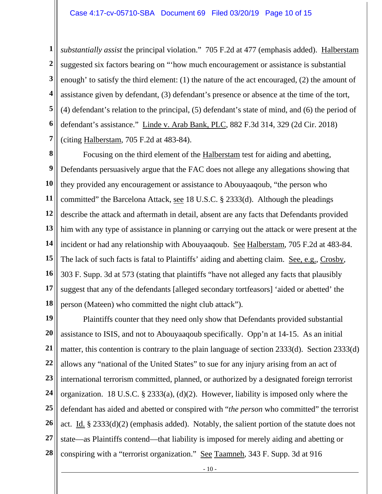**1 2 3 4 5 6 7**  *substantially assist* the principal violation." 705 F.2d at 477 (emphasis added). Halberstam suggested six factors bearing on "'how much encouragement or assistance is substantial enough' to satisfy the third element: (1) the nature of the act encouraged, (2) the amount of assistance given by defendant, (3) defendant's presence or absence at the time of the tort, (4) defendant's relation to the principal, (5) defendant's state of mind, and (6) the period of defendant's assistance." Linde v. Arab Bank, PLC, 882 F.3d 314, 329 (2d Cir. 2018) (citing Halberstam, 705 F.2d at 483-84).

**8 9 10 11 12 13 14 15 16 17 18**  Focusing on the third element of the Halberstam test for aiding and abetting, Defendants persuasively argue that the FAC does not allege any allegations showing that they provided any encouragement or assistance to Abouyaaqoub, "the person who committed" the Barcelona Attack, see 18 U.S.C. § 2333(d). Although the pleadings describe the attack and aftermath in detail, absent are any facts that Defendants provided him with any type of assistance in planning or carrying out the attack or were present at the incident or had any relationship with Abouyaaqoub. See Halberstam, 705 F.2d at 483-84. The lack of such facts is fatal to Plaintiffs' aiding and abetting claim. See, e.g., Crosby, 303 F. Supp. 3d at 573 (stating that plaintiffs "have not alleged any facts that plausibly suggest that any of the defendants [alleged secondary tortfeasors] 'aided or abetted' the person (Mateen) who committed the night club attack").

**19 20 21 22 23 24 25 26 27 28**  Plaintiffs counter that they need only show that Defendants provided substantial assistance to ISIS, and not to Abouyaaqoub specifically. Opp'n at 14-15. As an initial matter, this contention is contrary to the plain language of section 2333(d). Section 2333(d) allows any "national of the United States" to sue for any injury arising from an act of international terrorism committed, planned, or authorized by a designated foreign terrorist organization. 18 U.S.C. § 2333(a), (d)(2). However, liability is imposed only where the defendant has aided and abetted or conspired with "*the person* who committed" the terrorist act. Id. § 2333(d)(2) (emphasis added). Notably, the salient portion of the statute does not state—as Plaintiffs contend—that liability is imposed for merely aiding and abetting or conspiring with a "terrorist organization." See Taamneh, 343 F. Supp. 3d at 916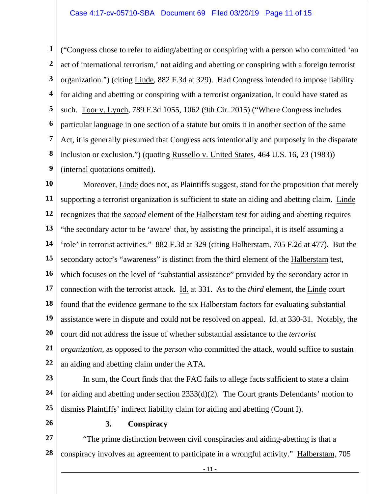**1 2 3 4 5 6 7 8 9**  ("Congress chose to refer to aiding/abetting or conspiring with a person who committed 'an act of international terrorism,' not aiding and abetting or conspiring with a foreign terrorist organization.") (citing Linde, 882 F.3d at 329). Had Congress intended to impose liability for aiding and abetting or conspiring with a terrorist organization, it could have stated as such. Toor v. Lynch, 789 F.3d 1055, 1062 (9th Cir. 2015) ("Where Congress includes particular language in one section of a statute but omits it in another section of the same Act, it is generally presumed that Congress acts intentionally and purposely in the disparate inclusion or exclusion.") (quoting Russello v. United States, 464 U.S. 16, 23 (1983)) (internal quotations omitted).

**10 11 12 13 14 15 16 17 18 19 20 21 22**  Moreover, Linde does not, as Plaintiffs suggest, stand for the proposition that merely supporting a terrorist organization is sufficient to state an aiding and abetting claim. Linde recognizes that the *second* element of the Halberstam test for aiding and abetting requires "the secondary actor to be 'aware' that, by assisting the principal, it is itself assuming a 'role' in terrorist activities." 882 F.3d at 329 (citing Halberstam, 705 F.2d at 477). But the secondary actor's "awareness" is distinct from the third element of the Halberstam test, which focuses on the level of "substantial assistance" provided by the secondary actor in connection with the terrorist attack. Id. at 331. As to the *third* element, the Linde court found that the evidence germane to the six Halberstam factors for evaluating substantial assistance were in dispute and could not be resolved on appeal. Id. at 330-31. Notably, the court did not address the issue of whether substantial assistance to the *terrorist organization*, as opposed to the *person* who committed the attack, would suffice to sustain an aiding and abetting claim under the ATA.

**23** 

**24 25**  In sum, the Court finds that the FAC fails to allege facts sufficient to state a claim for aiding and abetting under section 2333(d)(2). The Court grants Defendants' motion to dismiss Plaintiffs' indirect liability claim for aiding and abetting (Count I).

**26** 

#### **3. Conspiracy**

**27 28**  "The prime distinction between civil conspiracies and aiding-abetting is that a conspiracy involves an agreement to participate in a wrongful activity." Halberstam, 705

- 11 -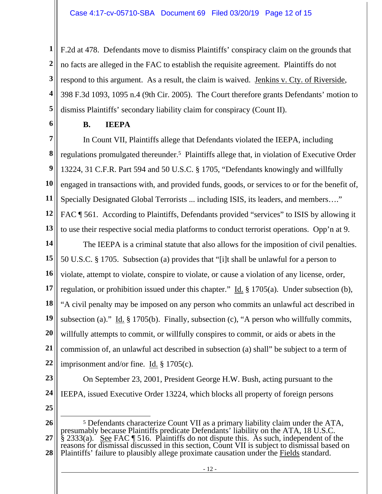**1 2 3 4 5**  F.2d at 478. Defendants move to dismiss Plaintiffs' conspiracy claim on the grounds that no facts are alleged in the FAC to establish the requisite agreement. Plaintiffs do not respond to this argument. As a result, the claim is waived. Jenkins v. Cty. of Riverside, 398 F.3d 1093, 1095 n.4 (9th Cir. 2005). The Court therefore grants Defendants' motion to dismiss Plaintiffs' secondary liability claim for conspiracy (Count II).

**6** 

# **B. IEEPA**

**7 8 9 10 11 12 13**  In Count VII, Plaintiffs allege that Defendants violated the IEEPA, including regulations promulgated thereunder.5 Plaintiffs allege that, in violation of Executive Order 13224, 31 C.F.R. Part 594 and 50 U.S.C. § 1705, "Defendants knowingly and willfully engaged in transactions with, and provided funds, goods, or services to or for the benefit of, Specially Designated Global Terrorists ... including ISIS, its leaders, and members…." FAC ¶ 561. According to Plaintiffs, Defendants provided "services" to ISIS by allowing it to use their respective social media platforms to conduct terrorist operations. Opp'n at 9.

**14 15 16 17 18 19 20 21 22**  The IEEPA is a criminal statute that also allows for the imposition of civil penalties. 50 U.S.C. § 1705. Subsection (a) provides that "[i]t shall be unlawful for a person to violate, attempt to violate, conspire to violate, or cause a violation of any license, order, regulation, or prohibition issued under this chapter." Id. § 1705(a). Under subsection (b), "A civil penalty may be imposed on any person who commits an unlawful act described in subsection (a)." Id. § 1705(b). Finally, subsection (c), "A person who willfully commits, willfully attempts to commit, or willfully conspires to commit, or aids or abets in the commission of, an unlawful act described in subsection (a) shall" be subject to a term of imprisonment and/or fine. Id. § 1705(c).

- **23**
- **24**
- **25**

IEEPA, issued Executive Order 13224, which blocks all property of foreign persons

On September 23, 2001, President George H.W. Bush, acting pursuant to the

**<sup>26</sup>  27 28**  5 Defendants characterize Count VII as a primary liability claim under the ATA, presumably because Plaintiffs predicate Defendants' liability on the ATA, 18 U.S.C.  $\S$  2333(a). See FAC  $\P$  516. Plaintiffs do not dispute this. As such, independent of the reasons for dismissal discussed in this section, Count VII is subject to dismissal based on Plaintiffs' failure to plausibly allege proximate causation under the Fields standard.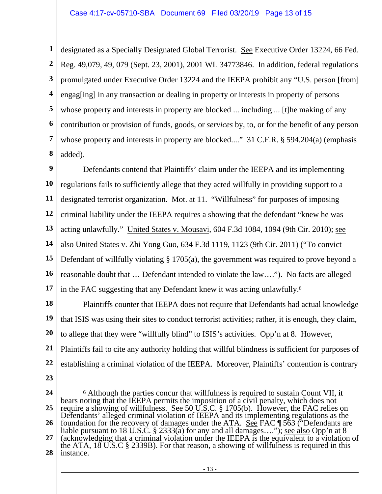**1 2 3 4 5 6 7 8**  designated as a Specially Designated Global Terrorist. See Executive Order 13224, 66 Fed. Reg. 49,079, 49, 079 (Sept. 23, 2001), 2001 WL 34773846. In addition, federal regulations promulgated under Executive Order 13224 and the IEEPA prohibit any "U.S. person [from] engag[ing] in any transaction or dealing in property or interests in property of persons whose property and interests in property are blocked ... including ... [t] he making of any contribution or provision of funds, goods, or *services* by, to, or for the benefit of any person whose property and interests in property are blocked...." 31 C.F.R. § 594.204(a) (emphasis added).

**9 10 11 12 13 14 15 16 17**  Defendants contend that Plaintiffs' claim under the IEEPA and its implementing regulations fails to sufficiently allege that they acted willfully in providing support to a designated terrorist organization. Mot. at 11. "Willfulness" for purposes of imposing criminal liability under the IEEPA requires a showing that the defendant "knew he was acting unlawfully." United States v. Mousavi, 604 F.3d 1084, 1094 (9th Cir. 2010); see also United States v. Zhi Yong Guo, 634 F.3d 1119, 1123 (9th Cir. 2011) ("To convict Defendant of willfully violating § 1705(a), the government was required to prove beyond a reasonable doubt that … Defendant intended to violate the law…."). No facts are alleged in the FAC suggesting that any Defendant knew it was acting unlawfully.6

**18 19 20 21 22**  Plaintiffs counter that IEEPA does not require that Defendants had actual knowledge that ISIS was using their sites to conduct terrorist activities; rather, it is enough, they claim, to allege that they were "willfully blind" to ISIS's activities. Opp'n at 8. However, Plaintiffs fail to cite any authority holding that willful blindness is sufficient for purposes of establishing a criminal violation of the IEEPA. Moreover, Plaintiffs' contention is contrary

**<sup>24</sup>  25 26 27 28**  6 Although the parties concur that willfulness is required to sustain Count VII, it bears noting that the IEEPA permits the imposition of a civil penalty, which does not require a showing of willfulness. See 50 U.S.C.  $\S 1705(b)$ . However, the FAC relies on Defendants' alleged criminal violation of IEEPA and its implementing regulations as the foundation for the recovery of damages under the ATA. See FAC ¶ 563 ("Defendants are liable pursuant to 18 U.S.C. § 2333( $\alpha$ ) for any and all damages...."); <u>see also</u> Opp'n at 8 (acknowledging that a criminal violation under the IEEPA is the equivalent to a violation of the ATA, 18 U.S.C § 2339B). For that reason, a showing of willfulness is required in this instance.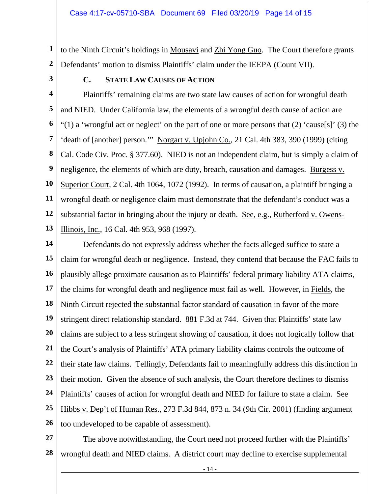**1 2**  to the Ninth Circuit's holdings in Mousavi and Zhi Yong Guo. The Court therefore grants Defendants' motion to dismiss Plaintiffs' claim under the IEEPA (Count VII).

**3** 

## **C. STATE LAW CAUSES OF ACTION**

**4 5 6 7 8 9 10 11 12 13**  Plaintiffs' remaining claims are two state law causes of action for wrongful death and NIED. Under California law, the elements of a wrongful death cause of action are "(1) a 'wrongful act or neglect' on the part of one or more persons that  $(2)$  'cause[s]'  $(3)$  the 'death of [another] person.'" Norgart v. Upjohn Co., 21 Cal. 4th 383, 390 (1999) (citing Cal. Code Civ. Proc. § 377.60). NIED is not an independent claim, but is simply a claim of negligence, the elements of which are duty, breach, causation and damages. Burgess v. Superior Court, 2 Cal. 4th 1064, 1072 (1992). In terms of causation, a plaintiff bringing a wrongful death or negligence claim must demonstrate that the defendant's conduct was a substantial factor in bringing about the injury or death. See, e.g., Rutherford v. Owens-Illinois, Inc., 16 Cal. 4th 953, 968 (1997).

**14 15 16 17 18 19 20 21 22 23 24 25 26**  Defendants do not expressly address whether the facts alleged suffice to state a claim for wrongful death or negligence. Instead, they contend that because the FAC fails to plausibly allege proximate causation as to Plaintiffs' federal primary liability ATA claims, the claims for wrongful death and negligence must fail as well. However, in Fields, the Ninth Circuit rejected the substantial factor standard of causation in favor of the more stringent direct relationship standard. 881 F.3d at 744. Given that Plaintiffs' state law claims are subject to a less stringent showing of causation, it does not logically follow that the Court's analysis of Plaintiffs' ATA primary liability claims controls the outcome of their state law claims. Tellingly, Defendants fail to meaningfully address this distinction in their motion. Given the absence of such analysis, the Court therefore declines to dismiss Plaintiffs' causes of action for wrongful death and NIED for failure to state a claim. See Hibbs v. Dep't of Human Res., 273 F.3d 844, 873 n. 34 (9th Cir. 2001) (finding argument too undeveloped to be capable of assessment).

**27 28**  The above notwithstanding, the Court need not proceed further with the Plaintiffs' wrongful death and NIED claims. A district court may decline to exercise supplemental